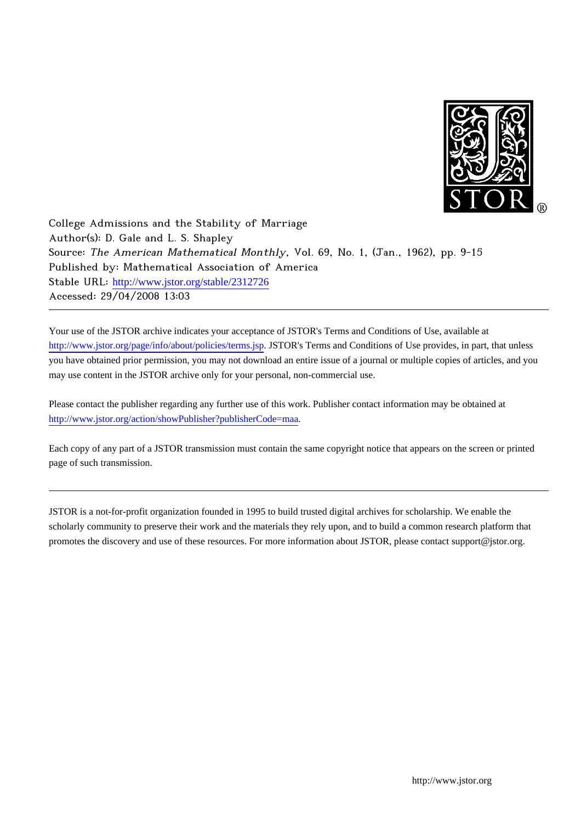

College Admissions and the Stability of Marriage Author(s): D. Gale and L. S. Shapley Source: The American Mathematical Monthly, Vol. 69, No. 1, (Jan., 1962), pp. 9-15 Published by: Mathematical Association of America Stable URL: [http://www.jstor.org/stable/2312726](http://www.jstor.org/stable/2312726?origin=JSTOR-pdf) Accessed: 29/04/2008 13:03

Your use of the JSTOR archive indicates your acceptance of JSTOR's Terms and Conditions of Use, available at <http://www.jstor.org/page/info/about/policies/terms.jsp>. JSTOR's Terms and Conditions of Use provides, in part, that unless you have obtained prior permission, you may not download an entire issue of a journal or multiple copies of articles, and you may use content in the JSTOR archive only for your personal, non-commercial use.

Please contact the publisher regarding any further use of this work. Publisher contact information may be obtained at [http://www.jstor.org/action/showPublisher?publisherCode=maa.](http://www.jstor.org/action/showPublisher?publisherCode=maa)

Each copy of any part of a JSTOR transmission must contain the same copyright notice that appears on the screen or printed page of such transmission.

JSTOR is a not-for-profit organization founded in 1995 to build trusted digital archives for scholarship. We enable the scholarly community to preserve their work and the materials they rely upon, and to build a common research platform that promotes the discovery and use of these resources. For more information about JSTOR, please contact support@jstor.org.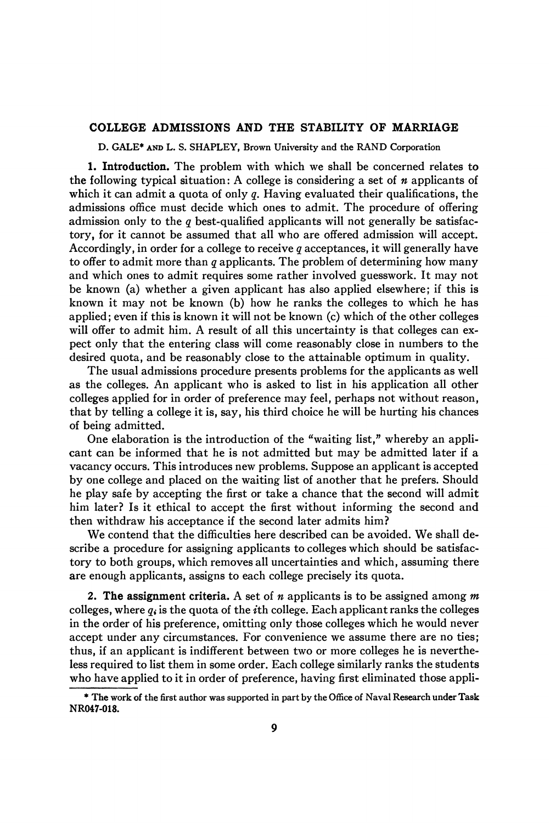#### COLLEGE ADMISSIONS AND THE STABILITY OF MARRIAGE

D. GALE<sup>\*</sup> AND L. S. SHAPLEY, Brown University and the RAND Corporation

**1. Introduction.** The problem with which we shall be concerned relates to the following typical situation: A college is considering a set of  $n$  applicants of which it can admit a quota of only  $q$ . Having evaluated their qualifications, the admissions office must decide which ones to admit. The procedure of offering admission only to the  $q$  best-qualified applicants will not generally be satisfactory, for it cannot be assumed that all who are offered admission will accept. Accordingly, in order for a college to receive  $q$  acceptances, it will generally have to offer to admit more than  $q$  applicants. The problem of determining how many and which ones to admit requires some rather involved guesswork. It may not be known (a) whether a given applicant has also applied elsewhere; if this is known it may not be known (b) how he ranks the colleges to which he has applied; even if this is known it will not be known (c) which of the other colleges will offer to admit him. A result of all this uncertainty is that colleges can expect only that the entering class will come reasonably close in numbers to the desired quota, and be reasonably close to the attainable optimum in quality.

The usual admissions procedure presents problems for the applicants as well as the colleges. An applicant who is asked to list in his application all other colleges applied for in order of preference may feel, perhaps not without reason, that by telling a college it is, say, his third choice he will be hurting his chances of being admitted.

One elaboration is the introduction of the "waiting list," whereby an applicant can be informed that he is not admitted but may be admitted later if a vacancy occurs. This introduces new problems. Suppose an applicant is accepted by one college and placed on the waiting list of another that he prefers. Should he play safe by accepting the first or take a chance that the second will admit him later? Is it ethical to accept the first without informing the second and then withdraw his acceptance if the second later admits him?

We contend that the difficulties here described can be avoided. We shall describe a procedure for assigning applicants to colleges which should be satisfactory to both groups, which removes all uncertainties and which, assuming there are enough applicants, assigns to each college precisely its quota.

2. The assignment criteria. A set of  $n$  applicants is to be assigned among  $m$ colleges, where  $q_i$  is the quota of the *i*th college. Each applicant ranks the colleges in the order of his preference, omitting only those colleges which he would never accept under any circumstances. For convenience we assume there are no ties; thus, if an applicant is indifferent between two or more colleges he is nevertheless required to list them in some order. Each college similarly ranks the students who have applied to it in order of preference, having first eliminated those appli-

<sup>\*</sup> The work of the first author was supported in part by the Office of Naval Research under Task NR047-018.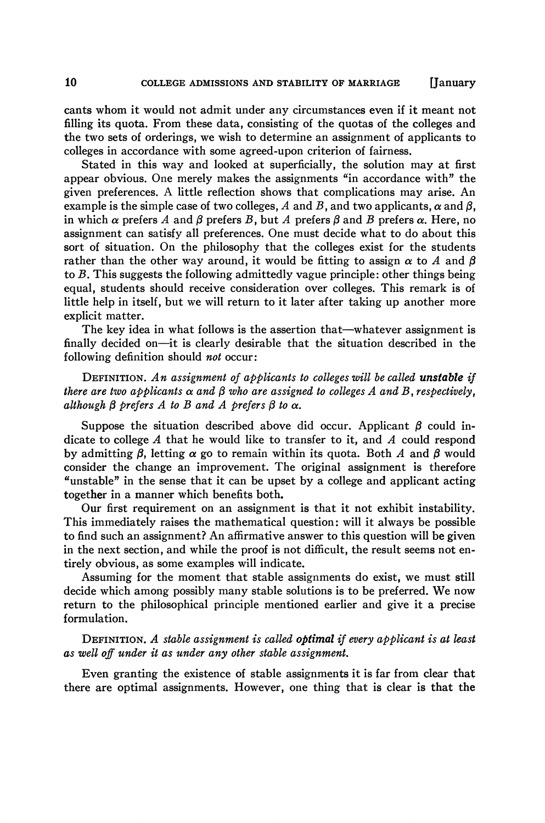cants whom it would not admit under any circumstances even if it meant not filling its quota. From these data, consisting of the quotas of the colleges and the two sets of orderings, we wish to determine an assignment of applicants to colleges in accordance with some agreed-upon criterion of fairness.

Stated in this way and looked at superficially, the solution may at first appear obvious. One merely makes the assignments "in accordance with" the given preferences. A little reflection shows that complications may arise. An example is the simple case of two colleges, A and B, and two applicants,  $\alpha$  and  $\beta$ , in which  $\alpha$  prefers A and  $\beta$  prefers B, but A prefers  $\beta$  and B prefers  $\alpha$ . Here, no assignment can satisfy all preferences. One must decide what to do about this sort of situation. On the philosophy that the colleges exist for the students rather than the other way around, it would be fitting to assign  $\alpha$  to A and  $\beta$ to  $B$ . This suggests the following admittedly vague principle: other things being equal, students should receive consideration over colleges. This remark is of little help in itself, but we will return to it later after taking up another more explicit matter.

The key idea in what follows is the assertion that—whatever assignment is finally decided on—it is clearly desirable that the situation described in the following definition should not occur:

# DEFINITION. An assignment of applicants to colleges will be called unstable if there are two applicants  $\alpha$  and  $\beta$  who are assigned to colleges A and B, respectively, although  $\beta$  prefers A to B and A prefers  $\beta$  to  $\alpha$ .

Suppose the situation described above did occur. Applicant  $\beta$  could indicate to college  $A$  that he would like to transfer to it, and  $A$  could respond by admitting  $\beta$ , letting  $\alpha$  go to remain within its quota. Both A and  $\beta$  would consider the change an improvement. The original assignment is therefore "unstable" in the sense that it can be upset by a college and applicant acting together in a manner which benefits both.

Our first requirement on an assignment is that it not exhibit instability. This immediately raises the mathematical question: will it always be possible to find such an assignment? An affirmative answer to this question will be given in the next section, and while the proof is not difficult, the result seems not entirely obvious, as some examples will indicate.

Assuming for the moment that stable assignments do exist, we must still decide which among possibly many stable solutions is to be preferred. We now return to the philosophical principle mentioned earlier and give it a precise formulation.

## DEFINITION. A stable assignment is called optimal if every applicant is at least as well off under it as under any other stable assignment.

Even granting the existence of stable assignments it is far from clear that there are optimal assignments. However, one thing that is clear is that the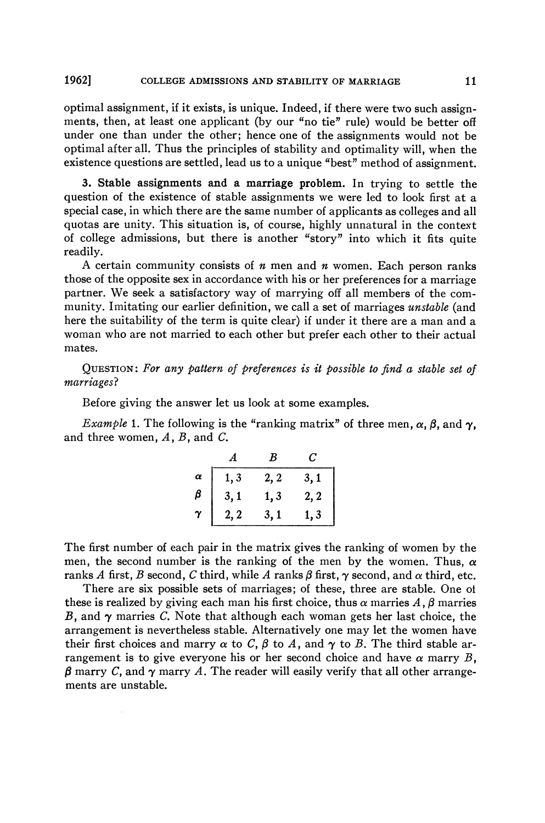optimal assignment, if it exists, is unique. Indeed, if there were two such assignments, then, at least one applicant (by our "no tie" rule) would be better off under one than under the other; hence one of the assignments would not be optimal after all. Thus the principles of stability and optimality will, when the existence questions are settled, lead us to a unique "best" method of assignment.

3. Stable assignments and a marriage problem. In trying to settle the question of the existence of stable assignments we were led to look first at a special case, in which there are the same number of applicants as colleges and all quotas are unity. This situation is, of course, highly unnatural in the context of college admissions, but there is another "story" into which it fits quite readily.

A certain community consists of *n* men and *n* women. Each person ranks those of the opposite sex in accordance with his or her preferences for a marriage partner. We seek a satisfactory way of marrying off all members of the community. Imitating our earlier definition, we call a set of marriages *unstable* (and here the suitability of the term is quite clear) if under it there are a man and a woman who are not married to each other but prefer each other to their actual mates.

QUESTION: For any pattern of preferences is it possible to find a stable set of marriages?

Before giving the answer let us look at some examples.

*Example* 1. The following is the "ranking matrix" of three men,  $\alpha$ ,  $\beta$ , and  $\gamma$ . and three women,  $A$ ,  $B$ , and  $C$ .

|          |      | В    | C    |
|----------|------|------|------|
| $\alpha$ | 1, 3 | 2, 2 | 3, 1 |
| β        | 3, 1 | 1, 3 | 2, 2 |
| $\gamma$ | 2, 2 | 3, 1 | 1, 3 |

The first number of each pair in the matrix gives the ranking of women by the men, the second number is the ranking of the men by the women. Thus,  $\alpha$ ranks A first, B second, C third, while A ranks  $\beta$  first,  $\gamma$  second, and  $\alpha$  third, etc.

There are six possible sets of marriages; of these, three are stable. One of these is realized by giving each man his first choice, thus  $\alpha$  marries A,  $\beta$  marries B, and  $\gamma$  marries C. Note that although each woman gets her last choice, the arrangement is nevertheless stable. Alternatively one may let the women have their first choices and marry  $\alpha$  to C,  $\beta$  to A, and  $\gamma$  to B. The third stable arrangement is to give everyone his or her second choice and have  $\alpha$  marry  $B$ ,  $\beta$  marry C, and  $\gamma$  marry A. The reader will easily verify that all other arrangements are unstable.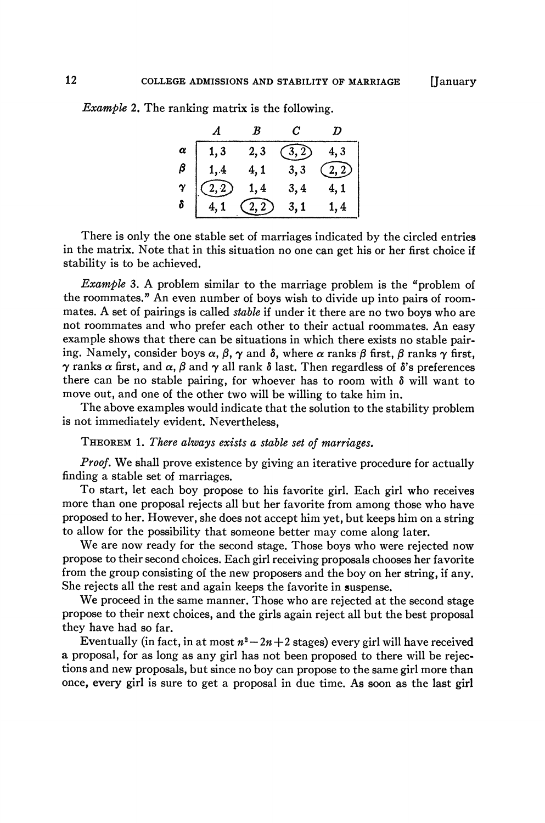Example 2. The ranking matrix is the following.

|          |                   | B                  | $\mathcal{C}^-$    | D     |
|----------|-------------------|--------------------|--------------------|-------|
| $\alpha$ | 1, 3              | 2, 3               | $\overline{(3,2)}$ | 4, 3  |
| β        | 1,4               | 4, 1               | 3, 3               | (2,2) |
| $\gamma$ | $\widehat{(2,2)}$ | 1,4                | 3, 4               | 4,1   |
| δ        | 4,1               | $\left(2,2\right)$ | 3,1                | 1,4   |

There is only the one stable set of marriages indicated by the circled entries in the matrix. Note that in this situation no one can get his or her first choice if stability is to be achieved.

Example 3. A problem similar to the marriage problem is the "problem of the roommates." An even number of boys wish to divide up into pairs of roommates. A set of pairings is called *stable* if under it there are no two boys who are not roommates and who prefer each other to their actual roommates. An easy example shows that there can be situations in which there exists no stable pairing. Namely, consider boys  $\alpha$ ,  $\beta$ ,  $\gamma$  and  $\delta$ , where  $\alpha$  ranks  $\beta$  first,  $\beta$  ranks  $\gamma$  first,  $\gamma$  ranks  $\alpha$  first, and  $\alpha$ ,  $\beta$  and  $\gamma$  all rank  $\delta$  last. Then regardless of  $\delta$ 's preferences there can be no stable pairing, for whoever has to room with  $\delta$  will want to move out, and one of the other two will be willing to take him in.

The above examples would indicate that the solution to the stability problem is not immediately evident. Nevertheless.

THEOREM 1. There always exists a stable set of marriages.

Proof. We shall prove existence by giving an iterative procedure for actually finding a stable set of marriages.

To start, let each boy propose to his favorite girl. Each girl who receives more than one proposal rejects all but her favorite from among those who have proposed to her. However, she does not accept him yet, but keeps him on a string to allow for the possibility that someone better may come along later.

We are now ready for the second stage. Those boys who were rejected now propose to their second choices. Each girl receiving proposals chooses her favorite from the group consisting of the new proposers and the boy on her string, if any. She rejects all the rest and again keeps the favorite in suspense.

We proceed in the same manner. Those who are rejected at the second stage propose to their next choices, and the girls again reject all but the best proposal they have had so far.

Eventually (in fact, in at most  $n^2-2n+2$  stages) every girl will have received a proposal, for as long as any girl has not been proposed to there will be rejections and new proposals, but since no boy can propose to the same girl more than once, every girl is sure to get a proposal in due time. As soon as the last girl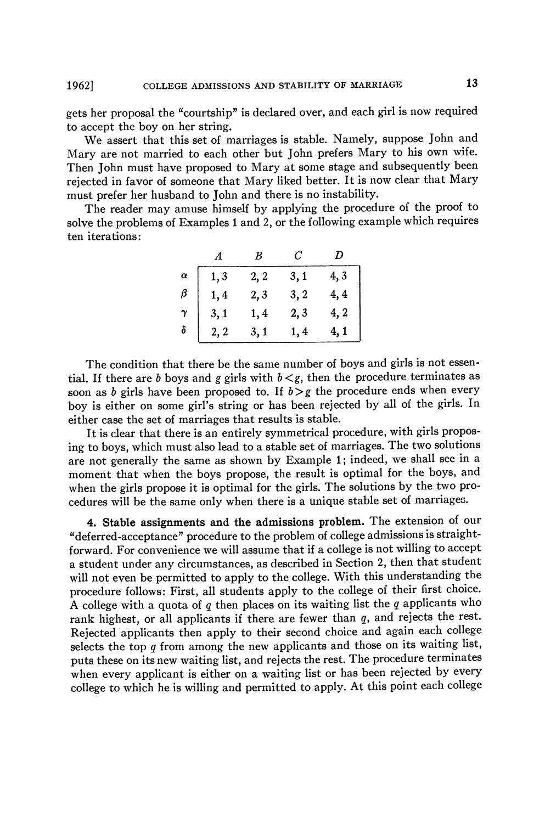#### 1962] COLLEGE ADMISSIONS AND STABILITY OF MARRIAGE

gets her proposal the "courtship" is declared over, and each girl is now required to accept the boy on her string.

We assert that this set of marriages is stable. Namely, suppose John and Mary are not married to each other but John prefers Mary to his own wife. Then John must have proposed to Mary at some stage and subsequently been rejected in favor of someone that Mary liked better. It is now clear that Mary must prefer her husband to John and there is no instability.

The reader may amuse himself by applying the procedure of the proof to solve the problems of Examples 1 and 2, or the following example which requires ten iterations:

|          | A    | B    | С    | D    |
|----------|------|------|------|------|
| $\alpha$ | 1, 3 | 2, 2 | 3, 1 | 4, 3 |
| β        | 1,4  | 2, 3 | 3, 2 | 4, 4 |
| $\gamma$ | 3, 1 | 1,4  | 2, 3 | 4, 2 |
| $\delta$ | 2, 2 | 3, 1 | 1,4  | 4, 1 |

The condition that there be the same number of boys and girls is not essential. If there are b boys and g girls with  $b < g$ , then the procedure terminates as soon as b girls have been proposed to. If  $b > g$  the procedure ends when every boy is either on some girl's string or has been rejected by all of the girls. In either case the set of marriages that results is stable.

It is clear that there is an entirely symmetrical procedure, with girls proposing to boys, which must also lead to a stable set of marriages. The two solutions are not generally the same as shown by Example 1; indeed, we shall see in a moment that when the boys propose, the result is optimal for the boys, and when the girls propose it is optimal for the girls. The solutions by the two procedures will be the same only when there is a unique stable set of marriages.

4. Stable assignments and the admissions problem. The extension of our "deferred-acceptance" procedure to the problem of college admissions is straightforward. For convenience we will assume that if a college is not willing to accept a student under any circumstances, as described in Section 2, then that student will not even be permitted to apply to the college. With this understanding the procedure follows: First, all students apply to the college of their first choice. A college with a quota of  $q$  then places on its waiting list the  $q$  applicants who rank highest, or all applicants if there are fewer than  $q$ , and rejects the rest. Rejected applicants then apply to their second choice and again each college selects the top  $q$  from among the new applicants and those on its waiting list, puts these on its new waiting list, and rejects the rest. The procedure terminates when every applicant is either on a waiting list or has been rejected by every college to which he is willing and permitted to apply. At this point each college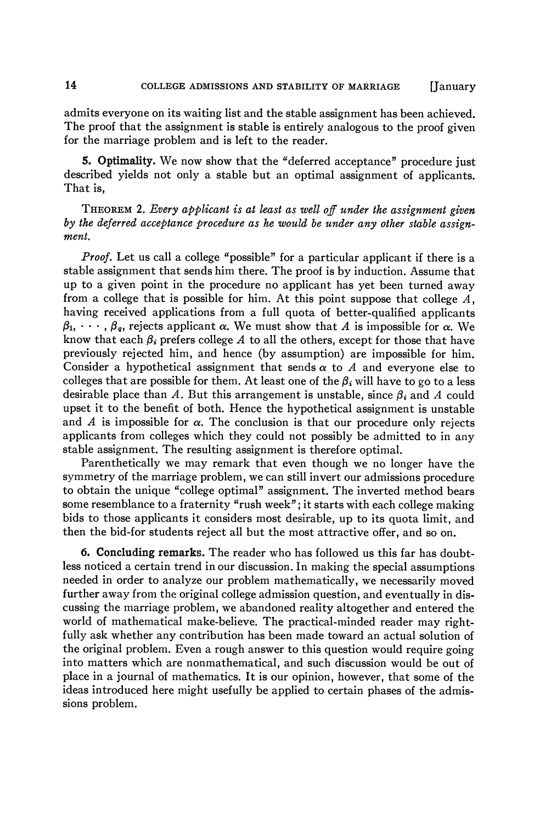admits everyone on its waiting list and the stable assignment has been achieved. The proof that the assignment is stable is entirely analogous to the proof given for the marriage problem and is left to the reader.

5. Optimality. We now show that the "deferred acceptance" procedure just described yields not only a stable but an optimal assignment of applicants. That is,

THEOREM 2. Every applicant is at least as well off under the assignment given by the deferred acceptance procedure as he would be under any other stable assignment.

*Proof.* Let us call a college "possible" for a particular applicant if there is a stable assignment that sends him there. The proof is by induction. Assume that up to a given point in the procedure no applicant has yet been turned away from a college that is possible for him. At this point suppose that college  $A$ , having received applications from a full quota of better-qualified applicants  $\beta_1, \dots, \beta_q$ , rejects applicant  $\alpha$ . We must show that A is impossible for  $\alpha$ . We know that each  $\beta_i$  prefers college A to all the others, except for those that have previously rejected him, and hence (by assumption) are impossible for him. Consider a hypothetical assignment that sends  $\alpha$  to A and everyone else to colleges that are possible for them. At least one of the  $\beta_i$  will have to go to a less desirable place than A. But this arrangement is unstable, since  $\beta_i$  and A could upset it to the benefit of both. Hence the hypothetical assignment is unstable and  $A$  is impossible for  $\alpha$ . The conclusion is that our procedure only rejects applicants from colleges which they could not possibly be admitted to in any stable assignment. The resulting assignment is therefore optimal.

Parenthetically we may remark that even though we no longer have the symmetry of the marriage problem, we can still invert our admissions procedure to obtain the unique "college optimal" assignment. The inverted method bears some resemblance to a fraternity "rush week"; it starts with each college making bids to those applicants it considers most desirable, up to its quota limit, and then the bid-for students reject all but the most attractive offer, and so on.

6. Concluding remarks. The reader who has followed us this far has doubtless noticed a certain trend in our discussion. In making the special assumptions needed in order to analyze our problem mathematically, we necessarily moved further away from the original college admission question, and eventually in discussing the marriage problem, we abandoned reality altogether and entered the world of mathematical make-believe. The practical-minded reader may rightfully ask whether any contribution has been made toward an actual solution of the original problem. Even a rough answer to this question would require going into matters which are nonmathematical, and such discussion would be out of place in a journal of mathematics. It is our opinion, however, that some of the ideas introduced here might usefully be applied to certain phases of the admissions problem.